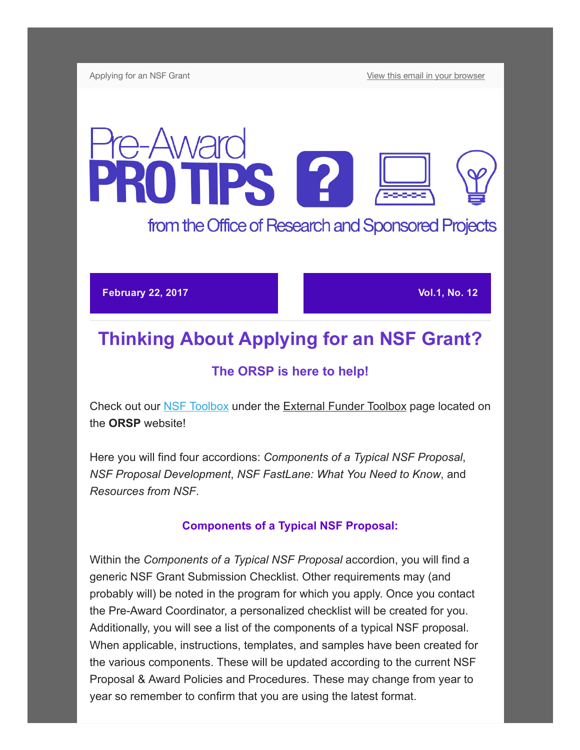Applying for an NSF Grant **[View this email in your browser](http://us13.campaign-archive2.com/?u=da65d94a037c71fb992ffa034&id=49c4e1589b&e=[UNIQID])** 

# e-Award **ROTPS 2** from the Office of Research and Sponsored Projects

February 22, 2017 Vol.1, No. 12

# Thinking About Applying for an NSF Grant?

## The ORSP is here to help!

Check out our [NSF Toolbox](https://www.westga.edu/academics/research/orsp/nsf.php) under the External Funder Toolbox page located on the ORSP website!

Here you will find four accordions: Components of a Typical NSF Proposal, NSF Proposal Development, NSF FastLane: What You Need to Know, and Resources from NSF.

#### Components of a Typical NSF Proposal:

Within the Components of a Typical NSF Proposal accordion, you will find a generic NSF Grant Submission Checklist. Other requirements may (and probably will) be noted in the program for which you apply. Once you contact the PreAward Coordinator, a personalized checklist will be created for you. Additionally, you will see a list of the components of a typical NSF proposal. When applicable, instructions, templates, and samples have been created for the various components. These will be updated according to the current NSF Proposal & Award Policies and Procedures. These may change from year to year so remember to confirm that you are using the latest format.